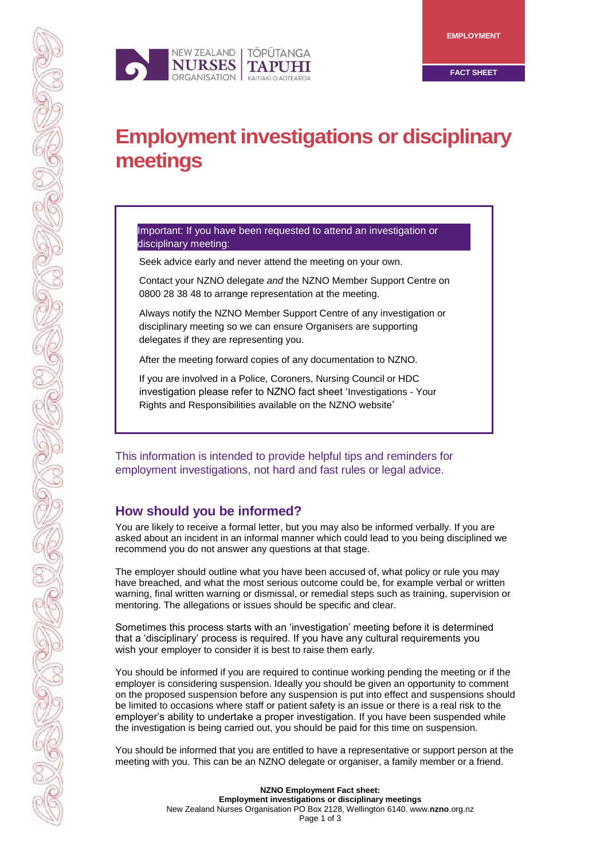

# **Employment investigations or disciplinary meetings**

#### Important: If you have been requested to attend an investigation or disciplinary meeting:

Seek advice early and never attend the meeting on your own.

Contact your NZNO delegate *and* the NZNO Member Support Centre on 0800 28 38 48 to arrange representation at the meeting.

Always notify the NZNO Member Support Centre of any investigation or disciplinary meeting so we can ensure Organisers are supporting delegates if they are representing you.

After the meeting forward copies of any documentation to NZNO.

If you are involved in a Police, Coroners, Nursing Council or HDC investigation please refer to NZNO fact sheet 'Investigations - Your Rights and Responsibilities available on the NZNO website'

This information is intended to provide helpful tips and reminders for employment investigations, not hard and fast rules or legal advice.

# **How should you be informed?**

You are likely to receive a formal letter, but you may also be informed verbally. If you are asked about an incident in an informal manner which could lead to you being disciplined we recommend you do not answer any questions at that stage.

The employer should outline what you have been accused of, what policy or rule you may have breached, and what the most serious outcome could be, for example verbal or written warning, final written warning or dismissal, or remedial steps such as training, supervision or mentoring. The allegations or issues should be specific and clear.

Sometimes this process starts with an 'investigation' meeting before it is determined that a 'disciplinary' process is required. If you have any cultural requirements you wish your employer to consider it is best to raise them early.

You should be informed if you are required to continue working pending the meeting or if the employer is considering suspension. Ideally you should be given an opportunity to comment on the proposed suspension before any suspension is put into effect and suspensions should be limited to occasions where staff or patient safety is an issue or there is a real risk to the employer's ability to undertake a proper investigation. If you have been suspended while the investigation is being carried out, you should be paid for this time on suspension.

You should be informed that you are entitled to have a representative or support person at the meeting with you. This can be an NZNO delegate or organiser, a family member or a friend.

> **NZNO Employment Fact sheet: Employment investigations or disciplinary meetings** New Zealand Nurses Organisation PO Box 2128, Wellington [6140. www.](http://6140.www.nzno.org.nz/)**nzno**.org.nz Page 1 of 3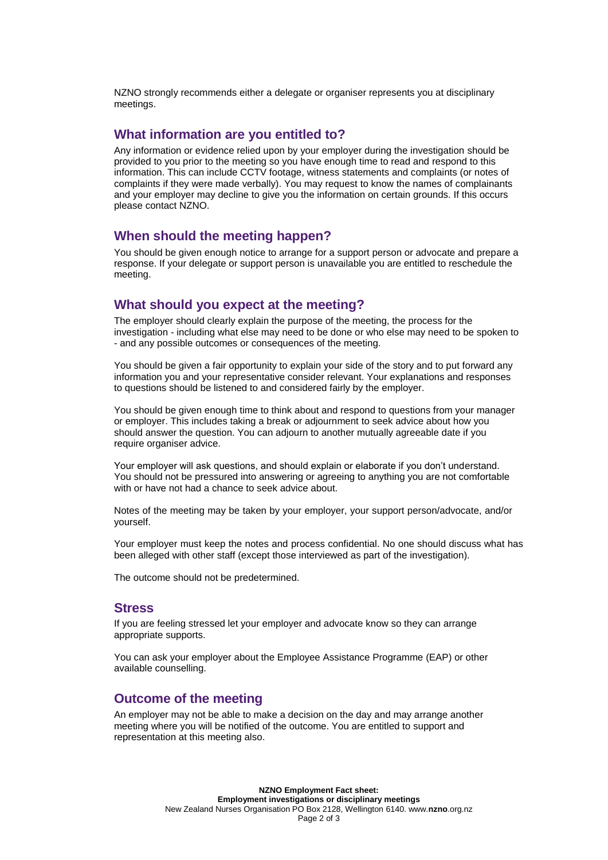NZNO strongly recommends either a delegate or organiser represents you at disciplinary meetings.

#### **What information are you entitled to?**

Any information or evidence relied upon by your employer during the investigation should be provided to you prior to the meeting so you have enough time to read and respond to this information. This can include CCTV footage, witness statements and complaints (or notes of complaints if they were made verbally). You may request to know the names of complainants and your employer may decline to give you the information on certain grounds. If this occurs please contact NZNO.

#### **When should the meeting happen?**

You should be given enough notice to arrange for a support person or advocate and prepare a response. If your delegate or support person is unavailable you are entitled to reschedule the meeting.

#### **What should you expect at the meeting?**

The employer should clearly explain the purpose of the meeting, the process for the investigation - including what else may need to be done or who else may need to be spoken to - and any possible outcomes or consequences of the meeting.

You should be given a fair opportunity to explain your side of the story and to put forward any information you and your representative consider relevant. Your explanations and responses to questions should be listened to and considered fairly by the employer.

You should be given enough time to think about and respond to questions from your manager or employer. This includes taking a break or adjournment to seek advice about how you should answer the question. You can adjourn to another mutually agreeable date if you require organiser advice.

Your employer will ask questions, and should explain or elaborate if you don't understand. You should not be pressured into answering or agreeing to anything you are not comfortable with or have not had a chance to seek advice about.

Notes of the meeting may be taken by your employer, your support person/advocate, and/or yourself.

Your employer must keep the notes and process confidential. No one should discuss what has been alleged with other staff (except those interviewed as part of the investigation).

The outcome should not be predetermined.

#### **Stress**

If you are feeling stressed let your employer and advocate know so they can arrange appropriate supports.

You can ask your employer about the Employee Assistance Programme (EAP) or other available counselling.

### **Outcome of the meeting**

An employer may not be able to make a decision on the day and may arrange another meeting where you will be notified of the outcome. You are entitled to support and representation at this meeting also.